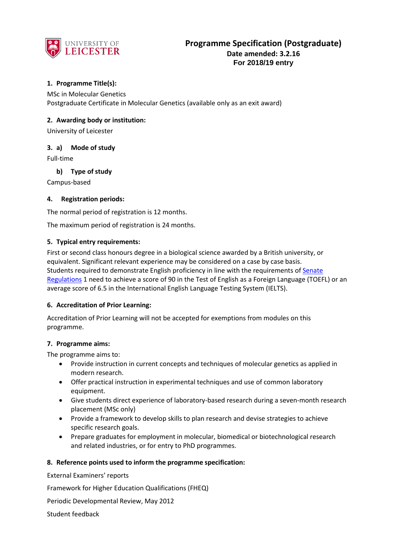

## **1. Programme Title(s):**

MSc in Molecular Genetics Postgraduate Certificate in Molecular Genetics (available only as an exit award)

## **2. Awarding body or institution:**

University of Leicester

## **3. a) Mode of study**

Full-time

## **b) Type of study**

Campus-based

## **4. Registration periods:**

The normal period of registration is 12 months.

The maximum period of registration is 24 months.

### **5. Typical entry requirements:**

First or second class honours degree in a biological science awarded by a British university, or equivalent. Significant relevant experience may be considered on a case by case basis. Students required to demonstrate English proficiency in line with the requirements of [Senate](http://www2.le.ac.uk/offices/sas2/regulations/general-regulations-for-taught-programmes)  [Regulations](http://www2.le.ac.uk/offices/sas2/regulations/general-regulations-for-taught-programmes) 1 need to achieve a score of 90 in the Test of English as a Foreign Language (TOEFL) or an average score of 6.5 in the International English Language Testing System (IELTS).

### **6. Accreditation of Prior Learning:**

Accreditation of Prior Learning will not be accepted for exemptions from modules on this programme.

### **7. Programme aims:**

The programme aims to:

- Provide instruction in current concepts and techniques of molecular genetics as applied in modern research.
- Offer practical instruction in experimental techniques and use of common laboratory equipment.
- Give students direct experience of laboratory-based research during a seven-month research placement (MSc only)
- Provide a framework to develop skills to plan research and devise strategies to achieve specific research goals.
- Prepare graduates for employment in molecular, biomedical or biotechnological research and related industries, or for entry to PhD programmes.

### **8. Reference points used to inform the programme specification:**

External Examiners' reports

Framework for Higher Education Qualifications (FHEQ)

Periodic Developmental Review, May 2012

Student feedback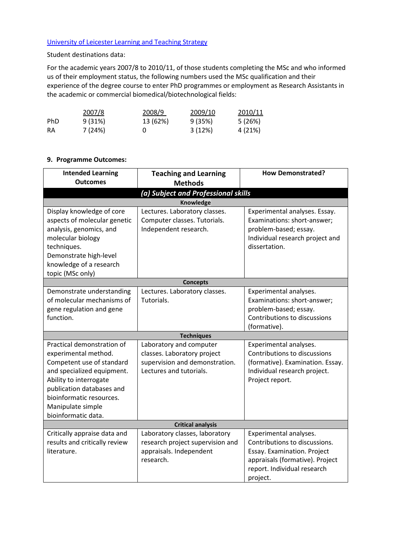# [University of Leicester Learning and Teaching Strategy](http://www2.le.ac.uk/offices/sas2/quality/learnteach)

Student destinations data:

For the academic years 2007/8 to 2010/11, of those students completing the MSc and who informed us of their employment status, the following numbers used the MSc qualification and their experience of the degree course to enter PhD programmes or employment as Research Assistants in the academic or commercial biomedical/biotechnological fields:

|     | 2007/8  | 2008/9   | 2009/10 | 2010/11 |
|-----|---------|----------|---------|---------|
| PhD | 9 (31%) | 13 (62%) | 9 (35%) | 5 (26%) |
| RA  | 7 (24%) |          | 3(12%)  | 4 (21%) |

# **9. Programme Outcomes:**

| <b>Intended Learning</b><br><b>Outcomes</b>                                                                                                                                                       | <b>Teaching and Learning</b><br><b>Methods</b>                                                                             | <b>How Demonstrated?</b>                                                                                                                                                                 |  |
|---------------------------------------------------------------------------------------------------------------------------------------------------------------------------------------------------|----------------------------------------------------------------------------------------------------------------------------|------------------------------------------------------------------------------------------------------------------------------------------------------------------------------------------|--|
|                                                                                                                                                                                                   | (a) Subject and Professional skills                                                                                        |                                                                                                                                                                                          |  |
|                                                                                                                                                                                                   | Knowledge                                                                                                                  |                                                                                                                                                                                          |  |
| Display knowledge of core<br>aspects of molecular genetic<br>analysis, genomics, and<br>molecular biology<br>techniques.<br>Demonstrate high-level<br>knowledge of a research<br>topic (MSc only) | Lectures. Laboratory classes.<br>Computer classes. Tutorials.<br>Independent research.                                     | Experimental analyses. Essay.<br>Examinations: short-answer;<br>problem-based; essay.<br>Individual research project and<br>dissertation.                                                |  |
|                                                                                                                                                                                                   | <b>Concepts</b>                                                                                                            |                                                                                                                                                                                          |  |
| Demonstrate understanding<br>of molecular mechanisms of<br>gene regulation and gene<br>function.<br>Practical demonstration of<br>experimental method.                                            | Lectures. Laboratory classes.<br>Tutorials.<br><b>Techniques</b><br>Laboratory and computer<br>classes. Laboratory project | Experimental analyses.<br>Examinations: short-answer;<br>problem-based; essay.<br>Contributions to discussions<br>(formative).<br>Experimental analyses.<br>Contributions to discussions |  |
| Competent use of standard<br>and specialized equipment.<br>Ability to interrogate<br>publication databases and<br>bioinformatic resources.<br>Manipulate simple<br>bioinformatic data.            | supervision and demonstration.<br>Lectures and tutorials.                                                                  | (formative). Examination. Essay.<br>Individual research project.<br>Project report.                                                                                                      |  |
| <b>Critical analysis</b>                                                                                                                                                                          |                                                                                                                            |                                                                                                                                                                                          |  |
| Critically appraise data and<br>results and critically review<br>literature.                                                                                                                      | Laboratory classes, laboratory<br>research project supervision and<br>appraisals. Independent<br>research.                 | Experimental analyses.<br>Contributions to discussions.<br>Essay. Examination. Project<br>appraisals (formative). Project<br>report. Individual research<br>project.                     |  |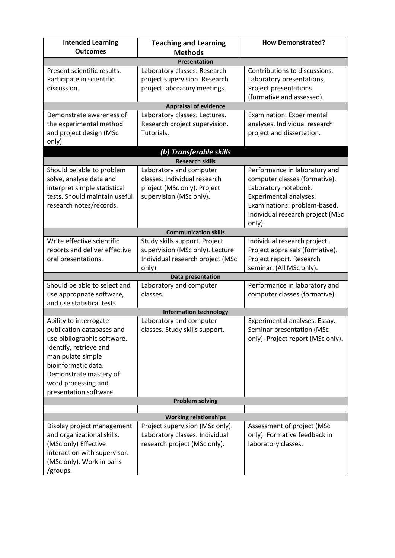| <b>Intended Learning</b>      | <b>Teaching and Learning</b>                             | <b>How Demonstrated?</b>          |  |
|-------------------------------|----------------------------------------------------------|-----------------------------------|--|
| <b>Outcomes</b>               | <b>Methods</b>                                           |                                   |  |
| <b>Presentation</b>           |                                                          |                                   |  |
| Present scientific results.   | Laboratory classes. Research                             | Contributions to discussions.     |  |
| Participate in scientific     | project supervision. Research                            | Laboratory presentations,         |  |
| discussion.                   | project laboratory meetings.                             | Project presentations             |  |
|                               |                                                          | (formative and assessed).         |  |
|                               | <b>Appraisal of evidence</b>                             |                                   |  |
| Demonstrate awareness of      | Laboratory classes. Lectures.                            | Examination. Experimental         |  |
| the experimental method       | Research project supervision.                            | analyses. Individual research     |  |
| and project design (MSc       | Tutorials.                                               | project and dissertation.         |  |
| only)                         |                                                          |                                   |  |
|                               | (b) Transferable skills                                  |                                   |  |
|                               | <b>Research skills</b>                                   |                                   |  |
| Should be able to problem     | Laboratory and computer                                  | Performance in laboratory and     |  |
| solve, analyse data and       | classes. Individual research                             | computer classes (formative).     |  |
| interpret simple statistical  | project (MSc only). Project                              | Laboratory notebook.              |  |
| tests. Should maintain useful | supervision (MSc only).                                  | Experimental analyses.            |  |
| research notes/records.       |                                                          | Examinations: problem-based.      |  |
|                               |                                                          | Individual research project (MSc  |  |
|                               |                                                          | only).                            |  |
|                               | <b>Communication skills</b>                              |                                   |  |
| Write effective scientific    | Study skills support. Project                            | Individual research project.      |  |
| reports and deliver effective | supervision (MSc only). Lecture.                         | Project appraisals (formative).   |  |
| oral presentations.           | Individual research project (MSc                         | Project report. Research          |  |
|                               | only).                                                   | seminar. (All MSc only).          |  |
|                               | <b>Data presentation</b>                                 |                                   |  |
| Should be able to select and  | Laboratory and computer                                  | Performance in laboratory and     |  |
| use appropriate software,     | classes.                                                 | computer classes (formative).     |  |
| and use statistical tests     |                                                          |                                   |  |
| Ability to interrogate        | <b>Information technology</b><br>Laboratory and computer | Experimental analyses. Essay.     |  |
| publication databases and     | classes. Study skills support.                           | Seminar presentation (MSc         |  |
| use bibliographic software.   |                                                          | only). Project report (MSc only). |  |
| Identify, retrieve and        |                                                          |                                   |  |
| manipulate simple             |                                                          |                                   |  |
| bioinformatic data.           |                                                          |                                   |  |
| Demonstrate mastery of        |                                                          |                                   |  |
| word processing and           |                                                          |                                   |  |
| presentation software.        |                                                          |                                   |  |
|                               | <b>Problem solving</b>                                   |                                   |  |
|                               |                                                          |                                   |  |
| <b>Working relationships</b>  |                                                          |                                   |  |
| Display project management    | Project supervision (MSc only).                          | Assessment of project (MSc        |  |
| and organizational skills.    | Laboratory classes. Individual                           | only). Formative feedback in      |  |
| (MSc only) Effective          | research project (MSc only).                             | laboratory classes.               |  |
| interaction with supervisor.  |                                                          |                                   |  |
| (MSc only). Work in pairs     |                                                          |                                   |  |
| /groups.                      |                                                          |                                   |  |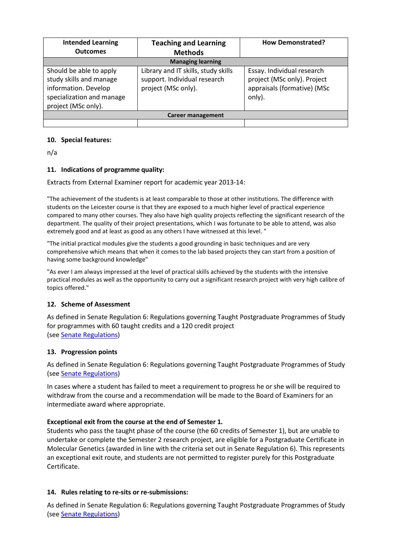| <b>Intended Learning</b><br><b>Outcomes</b>                                                                                    | <b>Teaching and Learning</b><br><b>Methods</b>                                             | <b>How Demonstrated?</b>                                                                           |  |
|--------------------------------------------------------------------------------------------------------------------------------|--------------------------------------------------------------------------------------------|----------------------------------------------------------------------------------------------------|--|
| <b>Managing learning</b>                                                                                                       |                                                                                            |                                                                                                    |  |
| Should be able to apply<br>study skills and manage<br>information. Develop<br>specialization and manage<br>project (MSc only). | Library and IT skills, study skills<br>support. Individual research<br>project (MSc only). | Essay. Individual research<br>project (MSc only). Project<br>appraisals (formative) (MSc<br>only). |  |
| Career management                                                                                                              |                                                                                            |                                                                                                    |  |
|                                                                                                                                |                                                                                            |                                                                                                    |  |

# **10. Special features:**

n/a

## **11. Indications of programme quality:**

Extracts from External Examiner report for academic year 2013-14:

"The achievement of the students is at least comparable to those at other institutions. The difference with students on the Leicester course is that they are exposed to a much higher level of practical experience compared to many other courses. They also have high quality projects reflecting the significant research of the department. The quality of their project presentations, which I was fortunate to be able to attend, was also extremely good and at least as good as any others I have witnessed at this level. "

"The initial practical modules give the students a good grounding in basic techniques and are very comprehensive which means that when it comes to the lab based projects they can start from a position of having some background knowledge"

"As ever I am always impressed at the level of practical skills achieved by the students with the intensive practical modules as well as the opportunity to carry out a significant research project with very high calibre of topics offered."

# **12. Scheme of Assessment**

As defined in Senate Regulation 6: Regulations governing Taught Postgraduate Programmes of Study for programmes with 60 taught credits and a 120 credit project (see [Senate Regulations\)](http://www2.le.ac.uk/offices/sas2/regulations/general-regulations-for-taught-programmes)

### **13. Progression points**

As defined in Senate Regulation 6: Regulations governing Taught Postgraduate Programmes of Study (see [Senate Regulations\)](http://www2.le.ac.uk/offices/sas2/regulations/general-regulations-for-taught-programmes)

In cases where a student has failed to meet a requirement to progress he or she will be required to withdraw from the course and a recommendation will be made to the Board of Examiners for an intermediate award where appropriate.

### **Exceptional exit from the course at the end of Semester 1***.*

Students who pass the taught phase of the course (the 60 credits of Semester 1), but are unable to undertake or complete the Semester 2 research project, are eligible for a Postgraduate Certificate in Molecular Genetics (awarded in line with the criteria set out in Senate Regulation 6). This represents an exceptional exit route, and students are not permitted to register purely for this Postgraduate Certificate.

### **14. Rules relating to re-sits or re-submissions:**

As defined in Senate Regulation 6: Regulations governing Taught Postgraduate Programmes of Study (see [Senate Regulations\)](http://www2.le.ac.uk/offices/sas2/regulations/general-regulations-for-taught-programmes)